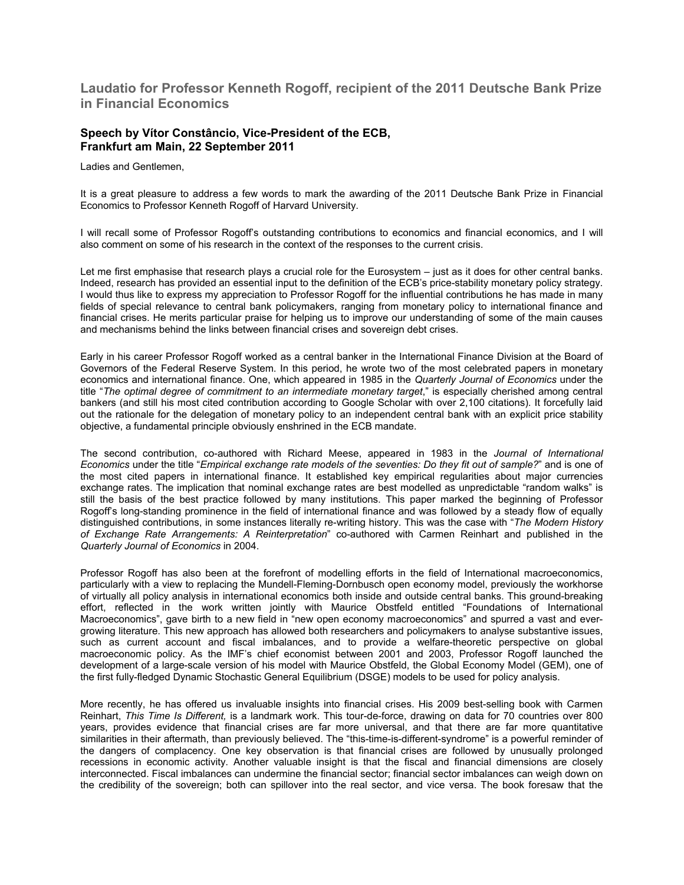## **Laudatio for Professor Kenneth Rogoff, recipient of the 2011 Deutsche Bank Prize in Financial Economics**

## **Speech by Vítor Constâncio, Vice-President of the ECB, Frankfurt am Main, 22 September 2011**

Ladies and Gentlemen,

It is a great pleasure to address a few words to mark the awarding of the 2011 Deutsche Bank Prize in Financial Economics to Professor Kenneth Rogoff of Harvard University.

I will recall some of Professor Rogoff's outstanding contributions to economics and financial economics, and I will also comment on some of his research in the context of the responses to the current crisis.

Let me first emphasise that research plays a crucial role for the Eurosystem – just as it does for other central banks. Indeed, research has provided an essential input to the definition of the ECB's price-stability monetary policy strategy. I would thus like to express my appreciation to Professor Rogoff for the influential contributions he has made in many fields of special relevance to central bank policymakers, ranging from monetary policy to international finance and financial crises. He merits particular praise for helping us to improve our understanding of some of the main causes and mechanisms behind the links between financial crises and sovereign debt crises.

Early in his career Professor Rogoff worked as a central banker in the International Finance Division at the Board of Governors of the Federal Reserve System. In this period, he wrote two of the most celebrated papers in monetary economics and international finance. One, which appeared in 1985 in the *Quarterly Journal of Economics* under the title "*The optimal degree of commitment to an intermediate monetary target*," is especially cherished among central bankers (and still his most cited contribution according to Google Scholar with over 2,100 citations). It forcefully laid out the rationale for the delegation of monetary policy to an independent central bank with an explicit price stability objective, a fundamental principle obviously enshrined in the ECB mandate.

The second contribution, co-authored with Richard Meese, appeared in 1983 in the *Journal of International Economics* under the title "*Empirical exchange rate models of the seventies: Do they fit out of sample?*" and is one of the most cited papers in international finance. It established key empirical regularities about major currencies exchange rates. The implication that nominal exchange rates are best modelled as unpredictable "random walks" is still the basis of the best practice followed by many institutions. This paper marked the beginning of Professor Rogoff's long-standing prominence in the field of international finance and was followed by a steady flow of equally distinguished contributions, in some instances literally re-writing history. This was the case with "*The Modern History of Exchange Rate Arrangements: A Reinterpretation*" co-authored with Carmen Reinhart and published in the *Quarterly Journal of Economics* in 2004.

Professor Rogoff has also been at the forefront of modelling efforts in the field of International macroeconomics, particularly with a view to replacing the Mundell-Fleming-Dornbusch open economy model, previously the workhorse of virtually all policy analysis in international economics both inside and outside central banks. This ground-breaking effort, reflected in the work written jointly with Maurice Obstfeld entitled "Foundations of International Macroeconomics", gave birth to a new field in "new open economy macroeconomics" and spurred a vast and evergrowing literature. This new approach has allowed both researchers and policymakers to analyse substantive issues, such as current account and fiscal imbalances, and to provide a welfare-theoretic perspective on global macroeconomic policy. As the IMF's chief economist between 2001 and 2003, Professor Rogoff launched the development of a large-scale version of his model with Maurice Obstfeld, the Global Economy Model (GEM), one of the first fully-fledged Dynamic Stochastic General Equilibrium (DSGE) models to be used for policy analysis.

More recently, he has offered us invaluable insights into financial crises. His 2009 best-selling book with Carmen Reinhart, *This Time Is Different,* is a landmark work. This tour-de-force, drawing on data for 70 countries over 800 years, provides evidence that financial crises are far more universal, and that there are far more quantitative similarities in their aftermath, than previously believed. The "this-time-is-different-syndrome" is a powerful reminder of the dangers of complacency. One key observation is that financial crises are followed by unusually prolonged recessions in economic activity. Another valuable insight is that the fiscal and financial dimensions are closely interconnected. Fiscal imbalances can undermine the financial sector; financial sector imbalances can weigh down on the credibility of the sovereign; both can spillover into the real sector, and vice versa. The book foresaw that the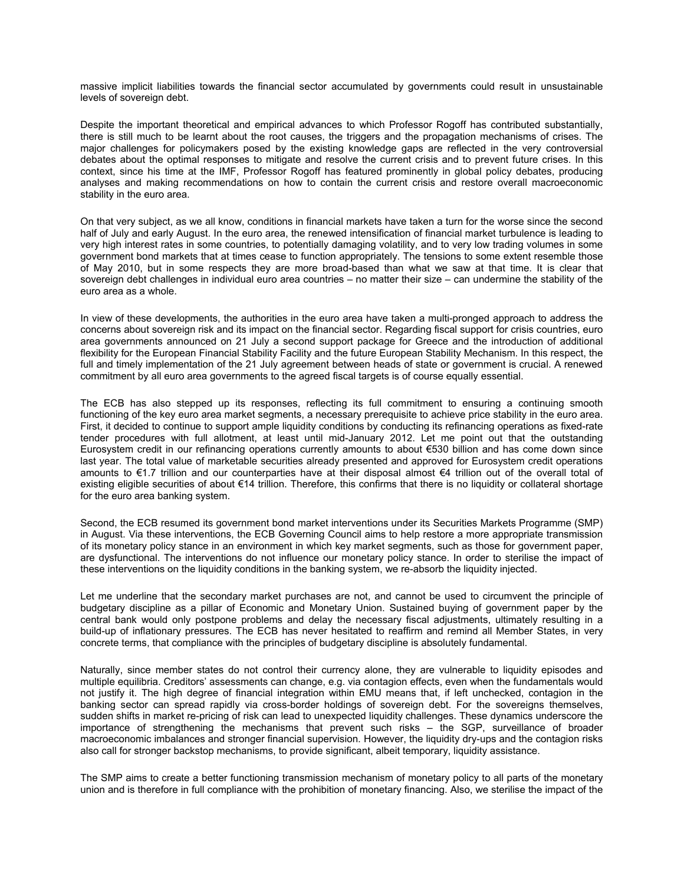massive implicit liabilities towards the financial sector accumulated by governments could result in unsustainable levels of sovereign debt.

Despite the important theoretical and empirical advances to which Professor Rogoff has contributed substantially, there is still much to be learnt about the root causes, the triggers and the propagation mechanisms of crises. The major challenges for policymakers posed by the existing knowledge gaps are reflected in the very controversial debates about the optimal responses to mitigate and resolve the current crisis and to prevent future crises. In this context, since his time at the IMF, Professor Rogoff has featured prominently in global policy debates, producing analyses and making recommendations on how to contain the current crisis and restore overall macroeconomic stability in the euro area.

On that very subject, as we all know, conditions in financial markets have taken a turn for the worse since the second half of July and early August. In the euro area, the renewed intensification of financial market turbulence is leading to very high interest rates in some countries, to potentially damaging volatility, and to very low trading volumes in some government bond markets that at times cease to function appropriately. The tensions to some extent resemble those of May 2010, but in some respects they are more broad-based than what we saw at that time. It is clear that sovereign debt challenges in individual euro area countries – no matter their size – can undermine the stability of the euro area as a whole.

In view of these developments, the authorities in the euro area have taken a multi-pronged approach to address the concerns about sovereign risk and its impact on the financial sector. Regarding fiscal support for crisis countries, euro area governments announced on 21 July a second support package for Greece and the introduction of additional flexibility for the European Financial Stability Facility and the future European Stability Mechanism. In this respect, the full and timely implementation of the 21 July agreement between heads of state or government is crucial. A renewed commitment by all euro area governments to the agreed fiscal targets is of course equally essential.

The ECB has also stepped up its responses, reflecting its full commitment to ensuring a continuing smooth functioning of the key euro area market segments, a necessary prerequisite to achieve price stability in the euro area. First, it decided to continue to support ample liquidity conditions by conducting its refinancing operations as fixed-rate tender procedures with full allotment, at least until mid-January 2012. Let me point out that the outstanding Eurosystem credit in our refinancing operations currently amounts to about €530 billion and has come down since last year. The total value of marketable securities already presented and approved for Eurosystem credit operations amounts to €1.7 trillion and our counterparties have at their disposal almost €4 trillion out of the overall total of existing eligible securities of about €14 trillion. Therefore, this confirms that there is no liquidity or collateral shortage for the euro area banking system.

Second, the ECB resumed its government bond market interventions under its Securities Markets Programme (SMP) in August. Via these interventions, the ECB Governing Council aims to help restore a more appropriate transmission of its monetary policy stance in an environment in which key market segments, such as those for government paper, are dysfunctional. The interventions do not influence our monetary policy stance. In order to sterilise the impact of these interventions on the liquidity conditions in the banking system, we re-absorb the liquidity injected.

Let me underline that the secondary market purchases are not, and cannot be used to circumvent the principle of budgetary discipline as a pillar of Economic and Monetary Union. Sustained buying of government paper by the central bank would only postpone problems and delay the necessary fiscal adjustments, ultimately resulting in a build-up of inflationary pressures. The ECB has never hesitated to reaffirm and remind all Member States, in very concrete terms, that compliance with the principles of budgetary discipline is absolutely fundamental.

Naturally, since member states do not control their currency alone, they are vulnerable to liquidity episodes and multiple equilibria. Creditors' assessments can change, e.g. via contagion effects, even when the fundamentals would not justify it. The high degree of financial integration within EMU means that, if left unchecked, contagion in the banking sector can spread rapidly via cross-border holdings of sovereign debt. For the sovereigns themselves, sudden shifts in market re-pricing of risk can lead to unexpected liquidity challenges. These dynamics underscore the importance of strengthening the mechanisms that prevent such risks – the SGP, surveillance of broader macroeconomic imbalances and stronger financial supervision. However, the liquidity dry-ups and the contagion risks also call for stronger backstop mechanisms, to provide significant, albeit temporary, liquidity assistance.

The SMP aims to create a better functioning transmission mechanism of monetary policy to all parts of the monetary union and is therefore in full compliance with the prohibition of monetary financing. Also, we sterilise the impact of the